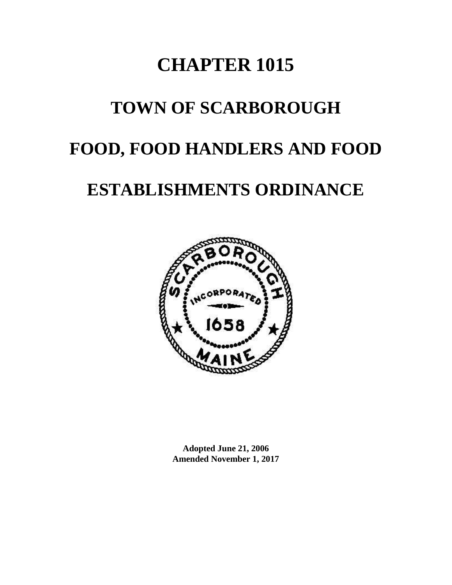# **CHAPTER 1015**

## **TOWN OF SCARBOROUGH**

## **FOOD, FOOD HANDLERS AND FOOD**

## **ESTABLISHMENTS ORDINANCE**



**Adopted June 21, 2006 Amended November 1, 2017**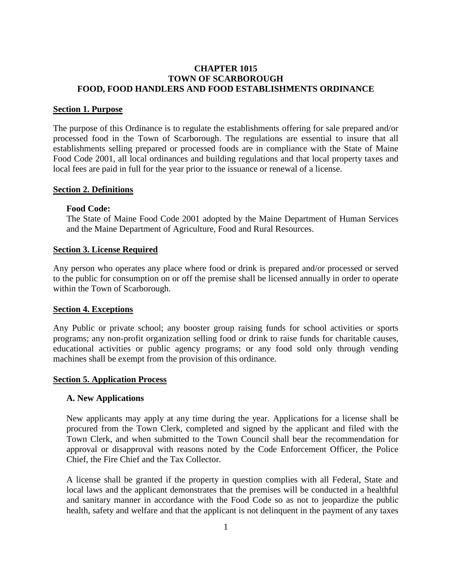## **CHAPTER 1015 TOWN OF SCARBOROUGH FOOD, FOOD HANDLERS AND FOOD ESTABLISHMENTS ORDINANCE**

#### <span id="page-2-0"></span>**Section 1. Purpose**

The purpose of this Ordinance is to regulate the establishments offering for sale prepared and/or processed food in the Town of Scarborough. The regulations are essential to insure that all establishments selling prepared or processed foods are in compliance with the State of Maine Food Code 2001, all local ordinances and building regulations and that local property taxes and local fees are paid in full for the year prior to the issuance or renewal of a license.

#### <span id="page-2-1"></span>**Section 2. Definitions**

#### <span id="page-2-2"></span>**Food Code:**

The State of Maine Food Code 2001 adopted by the Maine Department of Human Services and the Maine Department of Agriculture, Food and Rural Resources.

#### <span id="page-2-3"></span>**Section 3. License Required**

Any person who operates any place where food or drink is prepared and/or processed or served to the public for consumption on or off the premise shall be licensed annually in order to operate within the Town of Scarborough.

#### <span id="page-2-4"></span>**Section 4. Exceptions**

Any Public or private school; any booster group raising funds for school activities or sports programs; any non-profit organization selling food or drink to raise funds for charitable causes, educational activities or public agency programs; or any food sold only through vending machines shall be exempt from the provision of this ordinance.

#### <span id="page-2-5"></span>**Section 5. Application Process**

#### <span id="page-2-6"></span>**A. New Applications**

New applicants may apply at any time during the year. Applications for a license shall be procured from the Town Clerk, completed and signed by the applicant and filed with the Town Clerk, and when submitted to the Town Council shall bear the recommendation for approval or disapproval with reasons noted by the Code Enforcement Officer, the Police Chief, the Fire Chief and the Tax Collector.

A license shall be granted if the property in question complies with all Federal, State and local laws and the applicant demonstrates that the premises will be conducted in a healthful and sanitary manner in accordance with the Food Code so as not to jeopardize the public health, safety and welfare and that the applicant is not delinquent in the payment of any taxes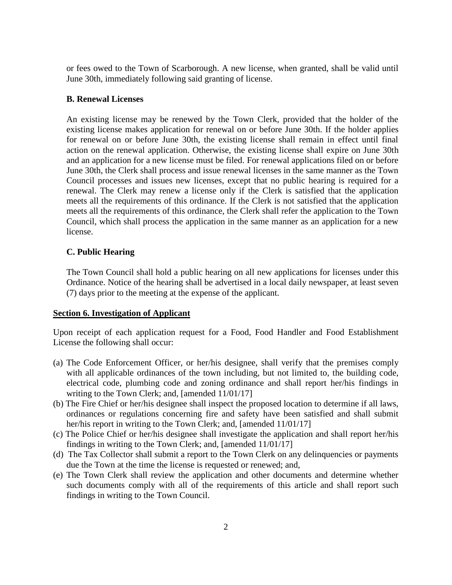or fees owed to the Town of Scarborough. A new license, when granted, shall be valid until June 30th, immediately following said granting of license.

#### <span id="page-3-0"></span>**B. Renewal Licenses**

An existing license may be renewed by the Town Clerk, provided that the holder of the existing license makes application for renewal on or before June 30th. If the holder applies for renewal on or before June 30th, the existing license shall remain in effect until final action on the renewal application. Otherwise, the existing license shall expire on June 30th and an application for a new license must be filed. For renewal applications filed on or before June 30th, the Clerk shall process and issue renewal licenses in the same manner as the Town Council processes and issues new licenses, except that no public hearing is required for a renewal. The Clerk may renew a license only if the Clerk is satisfied that the application meets all the requirements of this ordinance. If the Clerk is not satisfied that the application meets all the requirements of this ordinance, the Clerk shall refer the application to the Town Council, which shall process the application in the same manner as an application for a new license.

## <span id="page-3-1"></span>**C. Public Hearing**

The Town Council shall hold a public hearing on all new applications for licenses under this Ordinance. Notice of the hearing shall be advertised in a local daily newspaper, at least seven (7) days prior to the meeting at the expense of the applicant.

## <span id="page-3-2"></span>**Section 6. Investigation of Applicant**

Upon receipt of each application request for a Food, Food Handler and Food Establishment License the following shall occur:

- (a) The Code Enforcement Officer, or her/his designee, shall verify that the premises comply with all applicable ordinances of the town including, but not limited to, the building code, electrical code, plumbing code and zoning ordinance and shall report her/his findings in writing to the Town Clerk; and, [amended 11/01/17]
- (b) The Fire Chief or her/his designee shall inspect the proposed location to determine if all laws, ordinances or regulations concerning fire and safety have been satisfied and shall submit her/his report in writing to the Town Clerk; and, [amended  $11/01/17$ ]
- (c) The Police Chief or her/his designee shall investigate the application and shall report her/his findings in writing to the Town Clerk; and, [amended 11/01/17]
- (d) The Tax Collector shall submit a report to the Town Clerk on any delinquencies or payments due the Town at the time the license is requested or renewed; and,
- (e) The Town Clerk shall review the application and other documents and determine whether such documents comply with all of the requirements of this article and shall report such findings in writing to the Town Council.